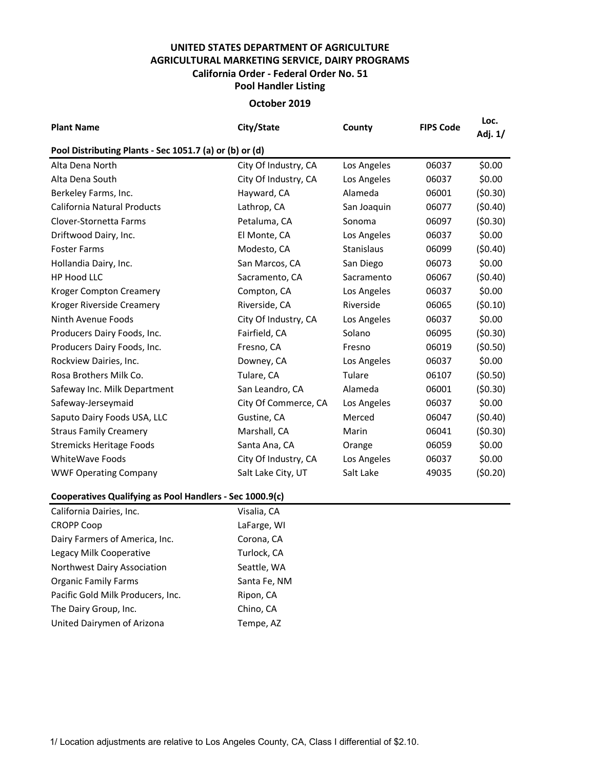## **UNITED STATES DEPARTMENT OF AGRICULTURE AGRICULTURAL MARKETING SERVICE, DAIRY PROGRAMS Pool Handler Listing California Order - Federal Order No. 51**

## **October 2019**

| <b>Plant Name</b>                                        | City/State           | County      | <b>FIPS Code</b> | Loc.<br>Adj. 1/ |  |  |  |  |  |
|----------------------------------------------------------|----------------------|-------------|------------------|-----------------|--|--|--|--|--|
| Pool Distributing Plants - Sec 1051.7 (a) or (b) or (d)  |                      |             |                  |                 |  |  |  |  |  |
| Alta Dena North                                          | City Of Industry, CA | Los Angeles | 06037            | \$0.00          |  |  |  |  |  |
| Alta Dena South                                          | City Of Industry, CA | Los Angeles | 06037            | \$0.00          |  |  |  |  |  |
| Berkeley Farms, Inc.                                     | Hayward, CA          | Alameda     | 06001            | (50.30)         |  |  |  |  |  |
| <b>California Natural Products</b>                       | Lathrop, CA          | San Joaquin | 06077            | (50.40)         |  |  |  |  |  |
| Clover-Stornetta Farms                                   | Petaluma, CA         | Sonoma      | 06097            | (50.30)         |  |  |  |  |  |
| Driftwood Dairy, Inc.                                    | El Monte, CA         | Los Angeles | 06037            | \$0.00          |  |  |  |  |  |
| <b>Foster Farms</b>                                      | Modesto, CA          | Stanislaus  | 06099            | (50.40)         |  |  |  |  |  |
| Hollandia Dairy, Inc.                                    | San Marcos, CA       | San Diego   | 06073            | \$0.00          |  |  |  |  |  |
| HP Hood LLC                                              | Sacramento, CA       | Sacramento  | 06067            | (50.40)         |  |  |  |  |  |
| <b>Kroger Compton Creamery</b>                           | Compton, CA          | Los Angeles | 06037            | \$0.00          |  |  |  |  |  |
| Kroger Riverside Creamery                                | Riverside, CA        | Riverside   | 06065            | (50.10)         |  |  |  |  |  |
| Ninth Avenue Foods                                       | City Of Industry, CA | Los Angeles | 06037            | \$0.00          |  |  |  |  |  |
| Producers Dairy Foods, Inc.                              | Fairfield, CA        | Solano      | 06095            | (50.30)         |  |  |  |  |  |
| Producers Dairy Foods, Inc.                              | Fresno, CA           | Fresno      | 06019            | (50.50)         |  |  |  |  |  |
| Rockview Dairies, Inc.                                   | Downey, CA           | Los Angeles | 06037            | \$0.00          |  |  |  |  |  |
| Rosa Brothers Milk Co.                                   | Tulare, CA           | Tulare      | 06107            | (50.50)         |  |  |  |  |  |
| Safeway Inc. Milk Department                             | San Leandro, CA      | Alameda     | 06001            | (50.30)         |  |  |  |  |  |
| Safeway-Jerseymaid                                       | City Of Commerce, CA | Los Angeles | 06037            | \$0.00          |  |  |  |  |  |
| Saputo Dairy Foods USA, LLC                              | Gustine, CA          | Merced      | 06047            | (50.40)         |  |  |  |  |  |
| <b>Straus Family Creamery</b>                            | Marshall, CA         | Marin       | 06041            | (50.30)         |  |  |  |  |  |
| <b>Stremicks Heritage Foods</b>                          | Santa Ana, CA        | Orange      | 06059            | \$0.00          |  |  |  |  |  |
| WhiteWave Foods                                          | City Of Industry, CA | Los Angeles | 06037            | \$0.00          |  |  |  |  |  |
| <b>WWF Operating Company</b>                             | Salt Lake City, UT   | Salt Lake   | 49035            | (50.20)         |  |  |  |  |  |
| Cooperatives Qualifying as Pool Handlers - Sec 1000.9(c) |                      |             |                  |                 |  |  |  |  |  |
| California Dairies, Inc.                                 | Visalia, CA          |             |                  |                 |  |  |  |  |  |

| California Dairies, Inc.          | Visalia, CA  |
|-----------------------------------|--------------|
| <b>CROPP Coop</b>                 | LaFarge, WI  |
| Dairy Farmers of America, Inc.    | Corona, CA   |
| Legacy Milk Cooperative           | Turlock, CA  |
| Northwest Dairy Association       | Seattle, WA  |
| <b>Organic Family Farms</b>       | Santa Fe, NM |
| Pacific Gold Milk Producers, Inc. | Ripon, CA    |
| The Dairy Group, Inc.             | Chino, CA    |
| United Dairymen of Arizona        | Tempe, AZ    |
|                                   |              |